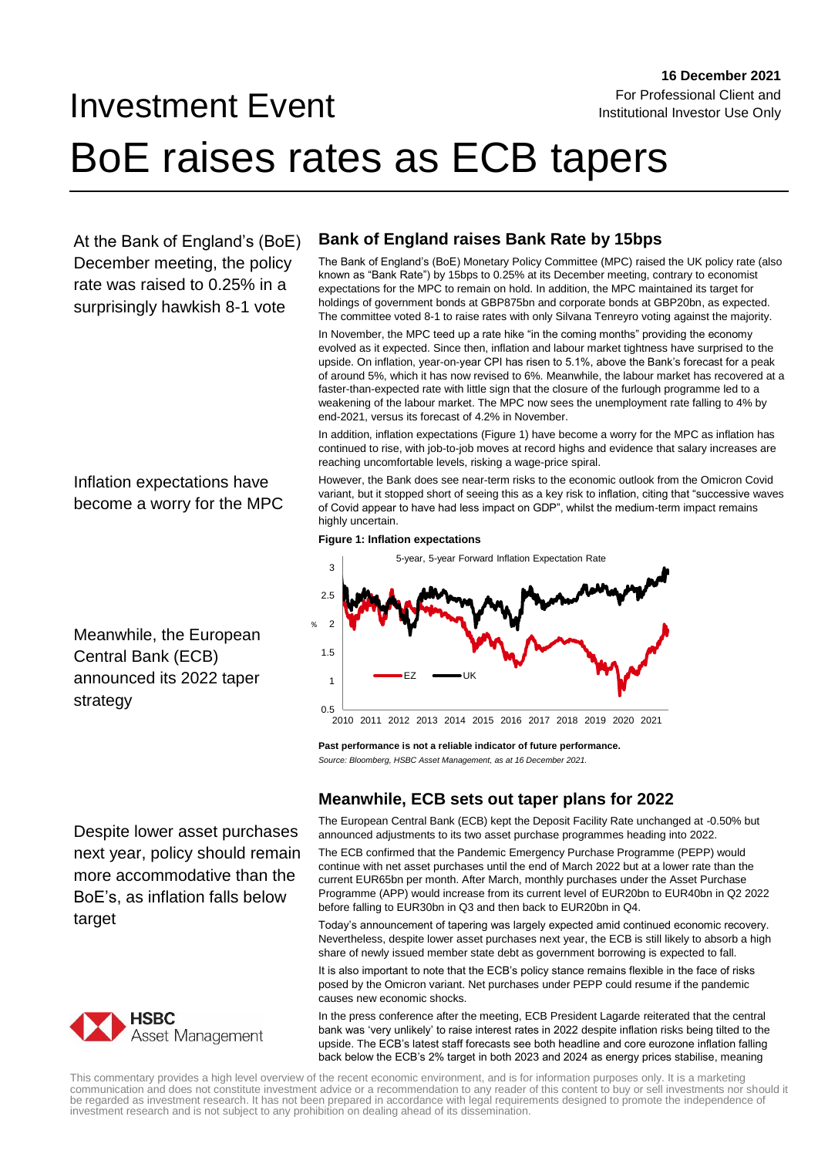# Investment Event For Professional Client and Institutional Investor Use Only BoE raises rates as ECB tapers

At the Bank of England's (BoE) December meeting, the policy rate was raised to 0.25% in a surprisingly hawkish 8-1 vote

# **Bank of England raises Bank Rate by 15bps**

The Bank of England's (BoE) Monetary Policy Committee (MPC) raised the UK policy rate (also known as "Bank Rate") by 15bps to 0.25% at its December meeting, contrary to economist expectations for the MPC to remain on hold. In addition, the MPC maintained its target for holdings of government bonds at GBP875bn and corporate bonds at GBP20bn, as expected. The committee voted 8-1 to raise rates with only Silvana Tenreyro voting against the majority.

**16 December 2021**

In November, the MPC teed up a rate hike "in the coming months" providing the economy evolved as it expected. Since then, inflation and labour market tightness have surprised to the upside. On inflation, year-on-year CPI has risen to 5.1%, above the Bank's forecast for a peak of around 5%, which it has now revised to 6%. Meanwhile, the labour market has recovered at a faster-than-expected rate with little sign that the closure of the furlough programme led to a weakening of the labour market. The MPC now sees the unemployment rate falling to 4% by end-2021, versus its forecast of 4.2% in November.

In addition, inflation expectations (Figure 1) have become a worry for the MPC as inflation has continued to rise, with job-to-job moves at record highs and evidence that salary increases are reaching uncomfortable levels, risking a wage-price spiral.

However, the Bank does see near-term risks to the economic outlook from the Omicron Covid variant, but it stopped short of seeing this as a key risk to inflation, citing that "successive waves of Covid appear to have had less impact on GDP", whilst the medium-term impact remains highly uncertain.

#### **Figure 1: Inflation expectations**



**Past performance is not a reliable indicator of future performance.** *Source: Bloomberg, HSBC Asset Management, as at 16 December 2021.*

# **Meanwhile, ECB sets out taper plans for 2022**

The European Central Bank (ECB) kept the Deposit Facility Rate unchanged at -0.50% but announced adjustments to its two asset purchase programmes heading into 2022.

The ECB confirmed that the Pandemic Emergency Purchase Programme (PEPP) would continue with net asset purchases until the end of March 2022 but at a lower rate than the current EUR65bn per month. After March, monthly purchases under the Asset Purchase Programme (APP) would increase from its current level of EUR20bn to EUR40bn in Q2 2022 before falling to EUR30bn in Q3 and then back to EUR20bn in Q4.

Today's announcement of tapering was largely expected amid continued economic recovery. Nevertheless, despite lower asset purchases next year, the ECB is still likely to absorb a high share of newly issued member state debt as government borrowing is expected to fall.

It is also important to note that the ECB's policy stance remains flexible in the face of risks posed by the Omicron variant. Net purchases under PEPP could resume if the pandemic causes new economic shocks.

In the press conference after the meeting, ECB President Lagarde reiterated that the central bank was 'very unlikely' to raise interest rates in 2022 despite inflation risks being tilted to the upside. The ECB's latest staff forecasts see both headline and core eurozone inflation falling back below the ECB's 2% target in both 2023 and 2024 as energy prices stabilise, meaning

Meanwhile, the European Central Bank (ECB) announced its 2022 taper strategy

Inflation expectations have become a worry for the MPC

Despite lower asset purchases next year, policy should remain more accommodative than the BoE's, as inflation falls below target



This commentary provides a high level overview of the recent economic environment, and is for information purposes only. It is a marketing communication and does not constitute investment advice or a recommendation to any reader of this content to buy or sell investments nor should it<br>be regarded as investment research. It has not been prepared in accordance investment research and is not subject to any prohibition on dealing ahead of its dissemination.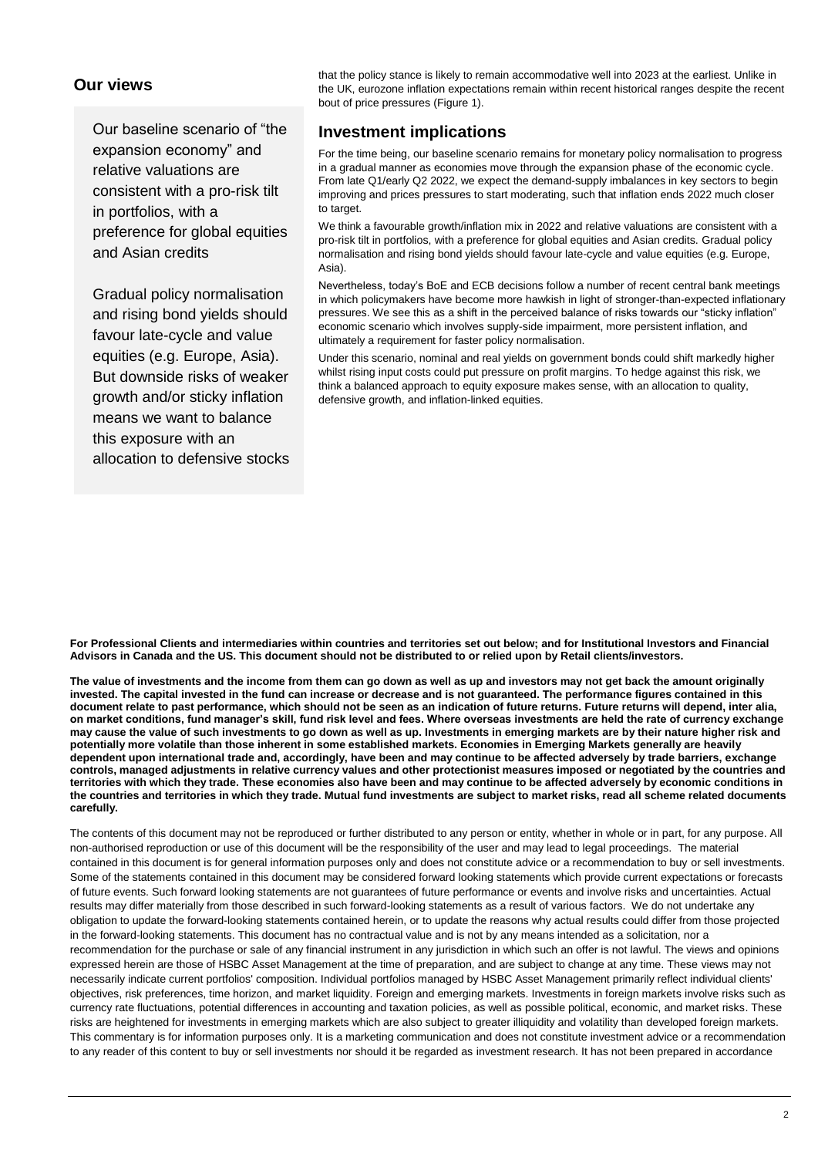## **Our views**

Our baseline scenario of "the expansion economy" and relative valuations are consistent with a pro-risk tilt in portfolios, with a preference for global equities and Asian credits

Gradual policy normalisation and rising bond yields should favour late-cycle and value equities (e.g. Europe, Asia). But downside risks of weaker growth and/or sticky inflation means we want to balance this exposure with an allocation to defensive stocks

that the policy stance is likely to remain accommodative well into 2023 at the earliest. Unlike in the UK, eurozone inflation expectations remain within recent historical ranges despite the recent bout of price pressures (Figure 1).

### **Investment implications**

For the time being, our baseline scenario remains for monetary policy normalisation to progress in a gradual manner as economies move through the expansion phase of the economic cycle. From late Q1/early Q2 2022, we expect the demand-supply imbalances in key sectors to begin improving and prices pressures to start moderating, such that inflation ends 2022 much closer to target.

We think a favourable growth/inflation mix in 2022 and relative valuations are consistent with a pro-risk tilt in portfolios, with a preference for global equities and Asian credits. Gradual policy normalisation and rising bond yields should favour late-cycle and value equities (e.g. Europe, Asia).

Nevertheless, today's BoE and ECB decisions follow a number of recent central bank meetings in which policymakers have become more hawkish in light of stronger-than-expected inflationary pressures. We see this as a shift in the perceived balance of risks towards our "sticky inflation" economic scenario which involves supply-side impairment, more persistent inflation, and ultimately a requirement for faster policy normalisation.

Under this scenario, nominal and real yields on government bonds could shift markedly higher whilst rising input costs could put pressure on profit margins. To hedge against this risk, we think a balanced approach to equity exposure makes sense, with an allocation to quality, defensive growth, and inflation-linked equities.

**For Professional Clients and intermediaries within countries and territories set out below; and for Institutional Investors and Financial Advisors in Canada and the US. This document should not be distributed to or relied upon by Retail clients/investors.**

**The value of investments and the income from them can go down as well as up and investors may not get back the amount originally invested. The capital invested in the fund can increase or decrease and is not guaranteed. The performance figures contained in this document relate to past performance, which should not be seen as an indication of future returns. Future returns will depend, inter alia, on market conditions, fund manager's skill, fund risk level and fees. Where overseas investments are held the rate of currency exchange may cause the value of such investments to go down as well as up. Investments in emerging markets are by their nature higher risk and potentially more volatile than those inherent in some established markets. Economies in Emerging Markets generally are heavily dependent upon international trade and, accordingly, have been and may continue to be affected adversely by trade barriers, exchange controls, managed adjustments in relative currency values and other protectionist measures imposed or negotiated by the countries and territories with which they trade. These economies also have been and may continue to be affected adversely by economic conditions in the countries and territories in which they trade. Mutual fund investments are subject to market risks, read all scheme related documents carefully.** 

The contents of this document may not be reproduced or further distributed to any person or entity, whether in whole or in part, for any purpose. All non-authorised reproduction or use of this document will be the responsibility of the user and may lead to legal proceedings. The material contained in this document is for general information purposes only and does not constitute advice or a recommendation to buy or sell investments. Some of the statements contained in this document may be considered forward looking statements which provide current expectations or forecasts of future events. Such forward looking statements are not guarantees of future performance or events and involve risks and uncertainties. Actual results may differ materially from those described in such forward-looking statements as a result of various factors. We do not undertake any obligation to update the forward-looking statements contained herein, or to update the reasons why actual results could differ from those projected in the forward-looking statements. This document has no contractual value and is not by any means intended as a solicitation, nor a recommendation for the purchase or sale of any financial instrument in any jurisdiction in which such an offer is not lawful. The views and opinions expressed herein are those of HSBC Asset Management at the time of preparation, and are subject to change at any time. These views may not necessarily indicate current portfolios' composition. Individual portfolios managed by HSBC Asset Management primarily reflect individual clients' objectives, risk preferences, time horizon, and market liquidity. Foreign and emerging markets. Investments in foreign markets involve risks such as currency rate fluctuations, potential differences in accounting and taxation policies, as well as possible political, economic, and market risks. These risks are heightened for investments in emerging markets which are also subject to greater illiquidity and volatility than developed foreign markets. This commentary is for information purposes only. It is a marketing communication and does not constitute investment advice or a recommendation to any reader of this content to buy or sell investments nor should it be regarded as investment research. It has not been prepared in accordance